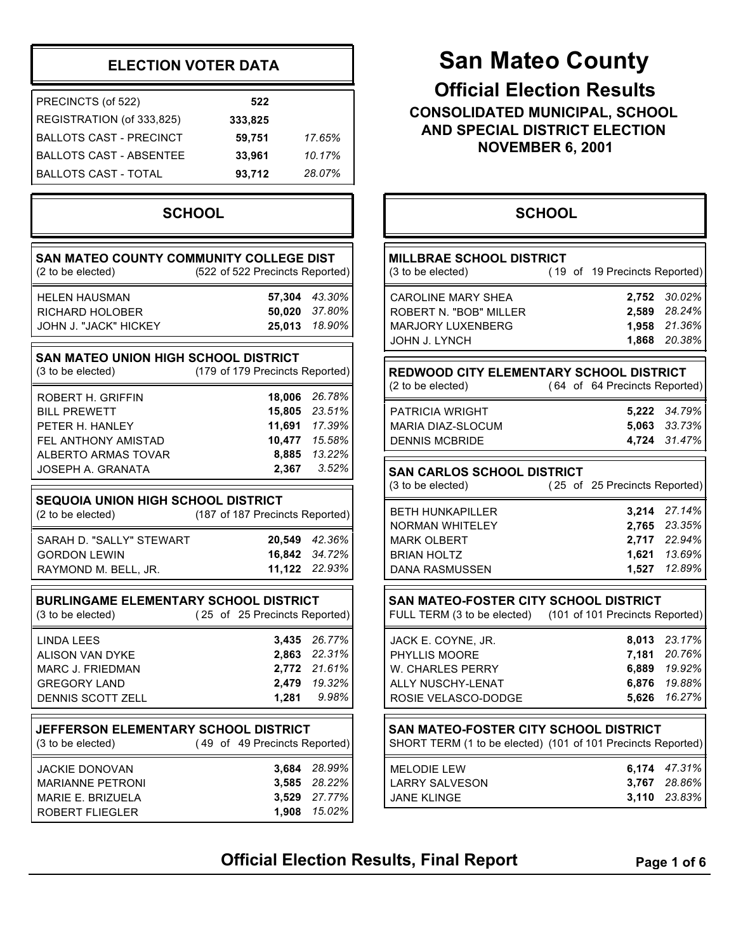### **ELECTION VOTER DATA**

| PRECINCTS (of 522)             | 522     |        |
|--------------------------------|---------|--------|
| REGISTRATION (of 333,825)      | 333,825 |        |
| BALLOTS CAST - PRECINCT        | 59.751  | 17.65% |
| <b>BALLOTS CAST - ABSENTEE</b> | 33.961  | 10.17% |
| I BALLOTS CAST - TOTAL         | 93,712  | 28.07% |

### **SCHOOL**

| SAN MATEO COUNTY COMMUNITY COLLEGE DIST                   |                                 |
|-----------------------------------------------------------|---------------------------------|
| (2 to be elected)                                         | (522 of 522 Precincts Reported) |
| <b>HELEN HAUSMAN</b>                                      | 57,304 43.30%                   |
| RICHARD HOLOBER                                           | 50,020<br>37.80%                |
| JOHN J. "JACK" HICKEY                                     | 25,013<br>18.90%                |
| SAN MATEO UNION HIGH SCHOOL DISTRICT<br>(3 to be elected) | (179 of 179 Precincts Reported) |
| ROBERT H. GRIFFIN                                         | 18,006<br>26.78%                |
| <b>BILL PREWETT</b>                                       | 15,805<br>23.51%                |
| PETER H. HANLEY                                           | 11,691 17.39%                   |
| <b>FEL ANTHONY AMISTAD</b>                                | 10,477<br>15.58%                |
| ALBERTO ARMAS TOVAR                                       | 13.22%<br>8,885                 |
| JOSEPH A. GRANATA                                         | 3.52%<br>2,367                  |
| <b>SEQUOIA UNION HIGH SCHOOL DISTRICT</b>                 |                                 |
| (2 to be elected)                                         | (187 of 187 Precincts Reported) |
| SARAH D. "SALLY" STEWART                                  | 20,549 42.36%                   |
| <b>GORDON LEWIN</b>                                       | 34.72%<br>16,842                |
| RAYMOND M. BELL, JR.                                      | 11,122<br>22.93%                |
| <b>BURLINGAME ELEMENTARY SCHOOL DISTRICT</b>              |                                 |
| (3 to be elected)                                         | (25 of 25 Precincts Reported)   |
| <b>LINDA LEES</b>                                         | 3,435 26.77%                    |
| <b>ALISON VAN DYKE</b>                                    | 2,863 22.31%                    |
| <b>MARC J. FRIEDMAN</b>                                   | 2,772 21.61%                    |
| GREGORY LAND                                              | 19.32%<br>2,479                 |
| DENNIS SCOTT ZELL                                         | 9.98%<br>1,281                  |
| JEFFERSON ELEMENTARY SCHOOL DISTRICT                      |                                 |
| (3 to be elected)                                         | (49 of 49 Precincts Reported)   |
| JACKIE DONOVAN                                            | 3,684<br>28.99%                 |
| <b>MARIANNE PETRONI</b>                                   | 3,585 28.22%                    |
| MARIE E. BRIZUELA                                         | 3,529 27.77%                    |
| ROBERT FLIEGLER                                           | 15.02%<br>1,908                 |

# **San Mateo County**

**Official Election Results CONSOLIDATED MUNICIPAL, SCHOOL AND SPECIAL DISTRICT ELECTION NOVEMBER 6, 2001**

|                                                                                                                 | <b>SCHOOL</b> |                                           |                                                |
|-----------------------------------------------------------------------------------------------------------------|---------------|-------------------------------------------|------------------------------------------------|
| <b>MILLBRAE SCHOOL DISTRICT</b><br>(3 to be elected)                                                            |               | (19 of 19 Precincts Reported)             |                                                |
| <b>CAROLINE MARY SHEA</b><br>ROBERT N. "BOB" MILLER<br><b>MARJORY LUXENBERG</b><br>JOHN J. LYNCH                |               | 2,752<br>2,589<br>1,958<br>1,868          | 30.02%<br>28.24%<br>21.36%<br>20.38%           |
| REDWOOD CITY ELEMENTARY SCHOOL DISTRICT<br>(2 to be elected)                                                    |               | (64 of 64 Precincts Reported)             |                                                |
| <b>PATRICIA WRIGHT</b><br><b>MARIA DIAZ-SLOCUM</b><br><b>DENNIS MCBRIDE</b>                                     |               | 5,063<br>4,724                            | 5,222 34.79%<br>33.73%<br>31.47%               |
| <b>SAN CARLOS SCHOOL DISTRICT</b><br>(3 to be elected)                                                          |               | (25 of 25 Precincts Reported)             |                                                |
| <b>BETH HUNKAPILLER</b><br>NORMAN WHITELEY<br><b>MARK OLBERT</b><br><b>BRIAN HOLTZ</b><br><b>DANA RASMUSSEN</b> |               | 3,214<br>2,765<br>2,717<br>1,621<br>1,527 | 27.14%<br>23.35%<br>22.94%<br>13.69%<br>12.89% |
| SAN MATEO-FOSTER CITY SCHOOL DISTRICT<br>FULL TERM (3 to be elected) (101 of 101 Precincts Reported)            |               |                                           |                                                |
| JACK E. COYNE, JR.<br>PHYLLIS MOORE<br>W. CHARLES PERRY<br>ALLY NUSCHY-LENAT<br>ROSIE VELASCO-DODGE             |               | 8,013<br>7,181<br>6,889<br>6,876<br>5,626 | 23.17%<br>20.76%<br>19.92%<br>19.88%<br>16.27% |
| SAN MATEO-FOSTER CITY SCHOOL DISTRICT<br>SHORT TERM (1 to be elected) (101 of 101 Precincts Reported)           |               |                                           |                                                |
| <b>MELODIE LEW</b><br><b>LARRY SALVESON</b>                                                                     |               | 6,174<br>3,767                            | 47.31%<br>28.86%                               |

JANE KLINGE **3,110** *23.83%*

**Official Election Results, Final Report** Page 1 of 6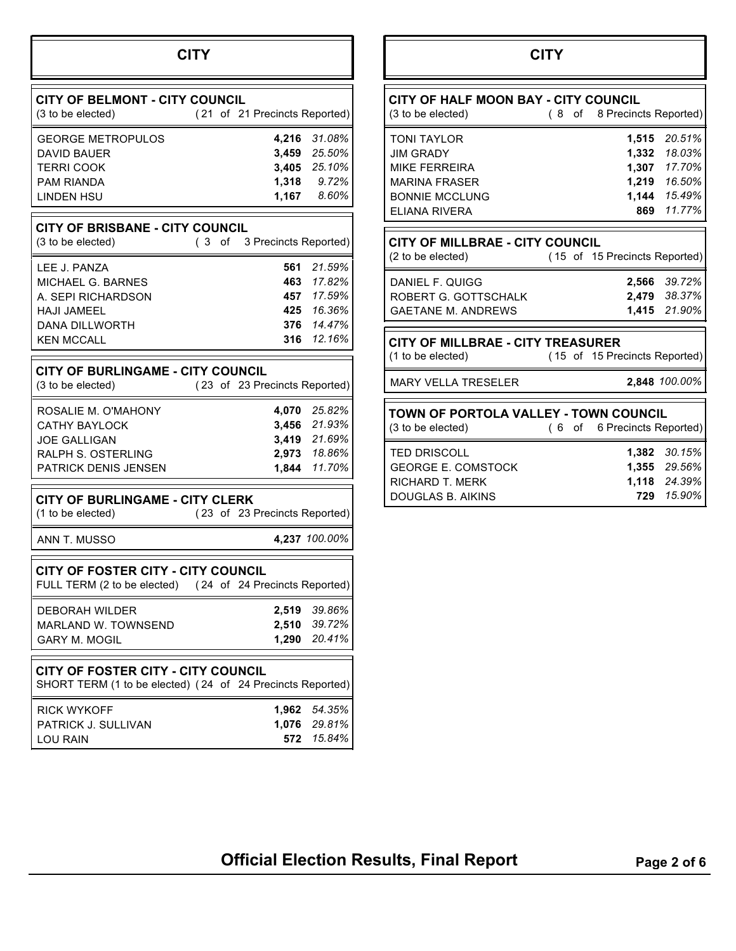## **CITY**

| <b>CITY OF BELMONT - CITY COUNCIL</b><br>(3 to be elected)                                                           |    |    | (21 of 21 Precincts Reported) |                                                                        |
|----------------------------------------------------------------------------------------------------------------------|----|----|-------------------------------|------------------------------------------------------------------------|
| <b>GEORGE METROPULOS</b><br>DAVID BAUER<br><b>TERRI COOK</b><br>PAM RIANDA<br><b>LINDEN HSU</b>                      |    |    | 4,216<br>1,318<br>1,167       | 31.08%<br>3,459 25.50%<br>3,405 25.10%<br>9.72%<br>8.60%               |
| <b>CITY OF BRISBANE - CITY COUNCIL</b><br>(3 to be elected)                                                          | (3 | of | 3 Precincts Reported)         |                                                                        |
| LEE J. PANZA<br>MICHAEL G. BARNES<br>A. SEPI RICHARDSON<br><b>HAJI JAMEEL</b><br>DANA DILLWORTH<br><b>KEN MCCALL</b> |    |    | 561<br>463<br>457             | 21.59%<br>17.82%<br>17.59%<br>425 16.36%<br>376 14.47%<br>316 12.16%   |
| <b>CITY OF BURLINGAME - CITY COUNCIL</b><br>(3 to be elected)                                                        |    |    | (23 of 23 Precincts Reported) |                                                                        |
| ROSALIE M. O'MAHONY<br>CATHY BAYLOCK<br>JOE GALLIGAN<br>RALPH S. OSTERLING<br>PATRICK DENIS JENSEN                   |    |    | 1,844                         | 4,070 25.82%<br>3,456 21.93%<br>3,419 21.69%<br>2,973 18.86%<br>11.70% |
| <b>CITY OF BURLINGAME - CITY CLERK</b><br>(1 to be elected)                                                          |    |    | (23 of 23 Precincts Reported) |                                                                        |
| ANN T. MUSSO                                                                                                         |    |    |                               | 4,237 100.00%                                                          |
| <b>CITY OF FOSTER CITY - CITY COUNCIL</b><br>FULL TERM (2 to be elected) (24 of 24 Precincts Reported)               |    |    |                               |                                                                        |
| DEBORAH WILDER<br>MARLAND W. TOWNSEND<br><b>GARY M. MOGIL</b>                                                        |    |    | 2,519<br>2,510<br>1,290       | 39.86%<br>39.72%<br>20.41%                                             |
| <b>CITY OF FOSTER CITY - CITY COUNCIL</b><br>SHORT TERM (1 to be elected) (24 of 24 Precincts Reported)              |    |    |                               |                                                                        |
| <b>RICK WYKOFF</b><br>PATRICK J. SULLIVAN<br>LOU RAIN                                                                |    |    | 1,962<br>1,076<br>572         | 54.35%<br>29.81%<br>15.84%                                             |

## **CITY**

| CITY OF HALF MOON BAY - CITY COUNCIL<br>(3 to be elected) | (8 of 8 Precincts Reported)   |              |
|-----------------------------------------------------------|-------------------------------|--------------|
| <b>TONI TAYLOR</b>                                        | 1,515                         | 20.51%       |
| <b>JIM GRADY</b>                                          | 1,332                         | 18.03%       |
|                                                           |                               |              |
| <b>MIKE FERREIRA</b>                                      |                               | 1,307 17.70% |
| <b>MARINA FRASER</b>                                      |                               | 1,219 16.50% |
| <b>BONNIE MCCLUNG</b>                                     |                               | 1,144 15.49% |
| <b>ELIANA RIVERA</b>                                      |                               | 869 11.77%   |
|                                                           |                               |              |
| <b>CITY OF MILLBRAE - CITY COUNCIL</b>                    |                               |              |
| (2 to be elected)                                         | (15 of 15 Precincts Reported) |              |
|                                                           |                               |              |
| DANIEL F. QUIGG                                           |                               | 2,566 39.72% |
| ROBERT G. GOTTSCHALK                                      |                               | 2,479 38.37% |
| <b>GAETANE M. ANDREWS</b>                                 |                               | 1,415 21.90% |
|                                                           |                               |              |

MARY VELLA TRESELER **2,848** *100.00%*

| <b>TOWN OF PORTOLA VALLEY - TOWN COUNCIL</b><br>(3 to be elected)                        | (6 of 6 Precincts Reported) |                                                                   |
|------------------------------------------------------------------------------------------|-----------------------------|-------------------------------------------------------------------|
| <b>TED DRISCOLL</b><br><b>GEORGE E. COMSTOCK</b><br>RICHARD T. MERK<br>DOUGLAS B. AIKINS |                             | <b>1.382</b> 30.15%<br>1.355 29.56%<br>1.118 24.39%<br>729 15.90% |

**Official Election Results, Final Report** Page 2 of 6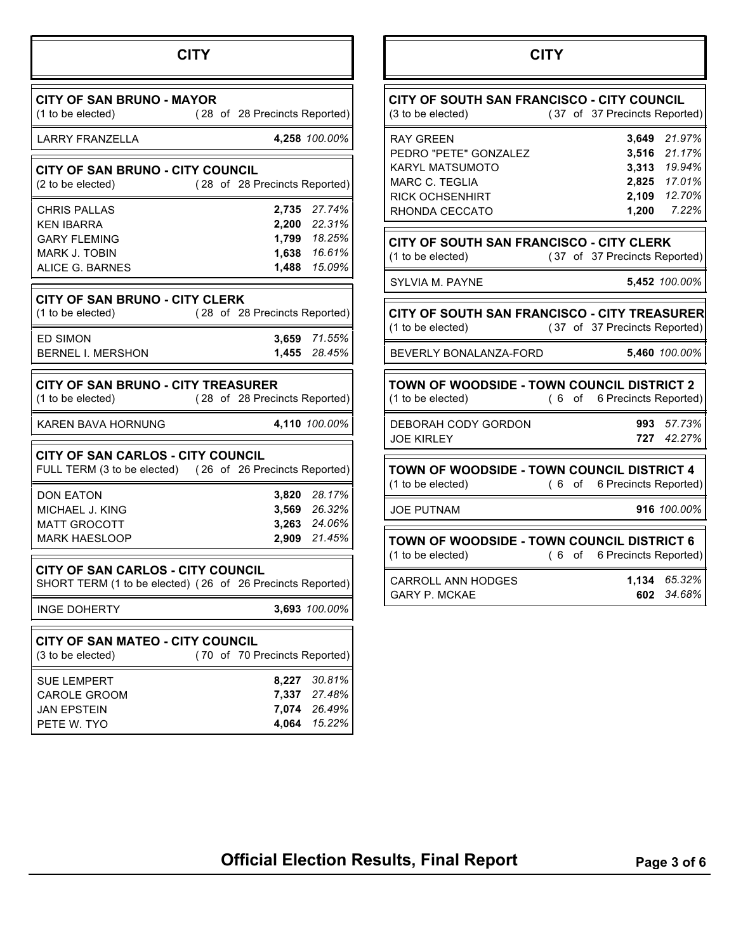## **CITY**

| <b>CITY OF SAN BRUNO - MAYOR</b><br>(1 to be elected)                                        | (28 of 28 Precincts Reported)                                                      |
|----------------------------------------------------------------------------------------------|------------------------------------------------------------------------------------|
| LARRY FRANZELLA                                                                              | 4,258 100.00%                                                                      |
| <b>CITY OF SAN BRUNO - CITY COUNCIL</b><br>(2 to be elected)                                 | (28 of 28 Precincts Reported)                                                      |
| CHRIS PALLAS<br>KEN IBARRA<br><b>GARY FLEMING</b><br><b>MARK J. TOBIN</b><br>ALICE G. BARNES | 27.74%<br>2,735<br>2,200 22.31%<br>1,799 18.25%<br>1,638 16.61%<br>1,488<br>15.09% |
| <b>CITY OF SAN BRUNO - CITY CLERK</b><br>(1 to be elected)                                   | (28 of 28 Precincts Reported)                                                      |
| ED SIMON<br><b>BERNEL I. MERSHON</b>                                                         | 3,659 71.55%<br>1,455 28.45%                                                       |
| <b>CITY OF SAN BRUNO - CITY TREASURER</b><br>(1 to be elected)                               | (28 of 28 Precincts Reported)                                                      |
| KAREN BAVA HORNUNG                                                                           | 4,110 100.00%                                                                      |
| CITY OF SAN CARLOS - CITY COUNCIL                                                            | FULL TERM (3 to be elected) (26 of 26 Precincts Reported)                          |
| <b>DON EATON</b><br>MICHAEL J. KING<br><b>MATT GROCOTT</b><br><b>MARK HAESLOOP</b>           | 3,820 28.17%<br>3,569 26.32%<br>3,263 24.06%<br>2,909 21.45%                       |
| <b>CITY OF SAN CARLOS - CITY COUNCIL</b>                                                     | SHORT TERM (1 to be elected) (26 of 26 Precincts Reported)                         |
| INGE DOHERTY                                                                                 | 3,693 100.00%                                                                      |
| <b>CITY OF SAN MATEO - CITY COUNCIL</b><br>(3 to be elected)                                 | (70 of 70 Precincts Reported)                                                      |
| SUE LEMPERT<br><b>CAROLE GROOM</b><br>JAN EPSTEIN                                            | 30.81%<br>8,227<br>7,337<br>27.48%<br>7,074<br>26.49%                              |

PETE W. TYO **4,064** *15.22%*

## **CITY**

| CITY OF SOUTH SAN FRANCISCO - CITY COUNCIL<br>(3 to be elected)                                                                   |     |    | (37 of 37 Precincts Reported)    |                                                                     |
|-----------------------------------------------------------------------------------------------------------------------------------|-----|----|----------------------------------|---------------------------------------------------------------------|
| <b>RAY GREEN</b><br>PEDRO "PETE" GONZALEZ<br>KARYL MATSUMOTO<br><b>MARC C. TEGLIA</b><br><b>RICK OCHSENHIRT</b><br>RHONDA CECCATO |     |    | 3,649<br>3,516<br>2,109<br>1,200 | 21.97%<br>21.17%<br>3,313 19.94%<br>2,825 17.01%<br>12.70%<br>7.22% |
| CITY OF SOUTH SAN FRANCISCO - CITY CLERK<br>(1 to be elected)                                                                     |     |    | (37 of 37 Precincts Reported)    |                                                                     |
| <b>SYLVIA M. PAYNE</b>                                                                                                            |     |    |                                  | 5,452 100.00%                                                       |
| CITY OF SOUTH SAN FRANCISCO - CITY TREASURER<br>(1 to be elected)                                                                 |     |    | (37 of 37 Precincts Reported)    |                                                                     |
| BEVERLY BONALANZA-FORD                                                                                                            |     |    |                                  | 5,460 100.00%                                                       |
| TOWN OF WOODSIDE - TOWN COUNCIL DISTRICT 2<br>(1 to be elected)                                                                   | (6) | of | 6 Precincts Reported)            |                                                                     |
| DEBORAH CODY GORDON<br><b>JOE KIRLEY</b>                                                                                          |     |    | 993<br>727                       | 57.73%<br>42.27%                                                    |
| TOWN OF WOODSIDE - TOWN COUNCIL DISTRICT 4<br>(1 to be elected)                                                                   | 6)  | of | 6 Precincts Reported)            |                                                                     |
| <b>JOE PUTNAM</b>                                                                                                                 |     |    |                                  | 916 100.00%                                                         |
| <b>TOWN OF WOODSIDE - TOWN COUNCIL DISTRICT 6</b><br>(1 to be elected)                                                            | (6) | of | 6 Precincts Reported)            |                                                                     |
| <b>CARROLL ANN HODGES</b><br><b>GARY P. MCKAE</b>                                                                                 |     |    | 1,134<br>602                     | 65.32%<br>34.68%                                                    |

**Official Election Results, Final Report** Page 3 of 6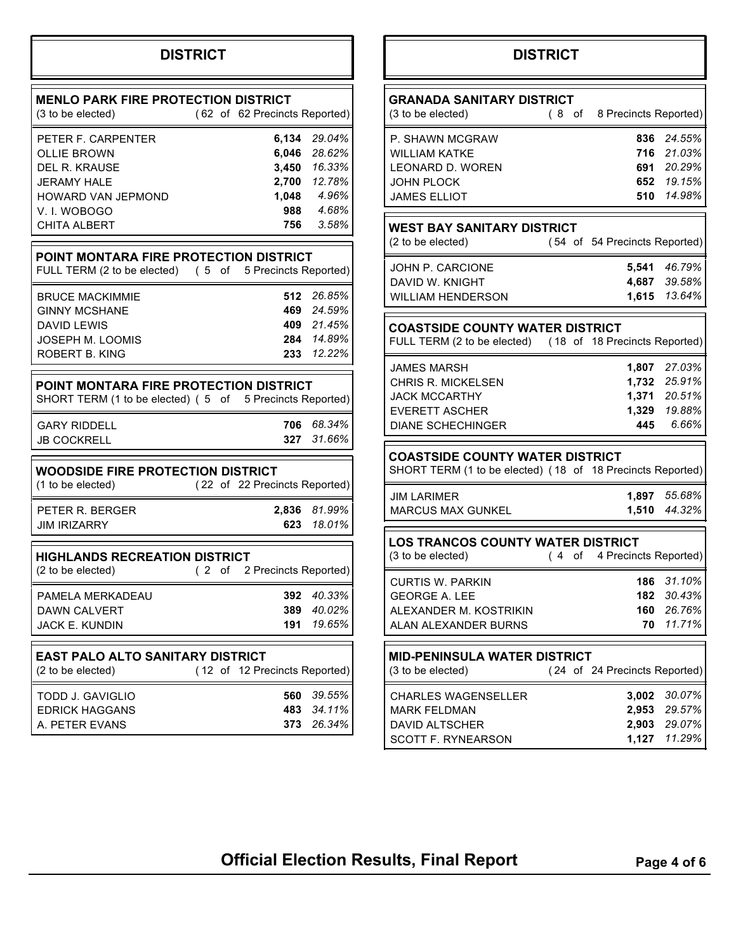## **DISTRICT**

| <b>MENLO PARK FIRE PROTECTION DISTRICT</b><br>(3 to be elected)                                                                              |  | (62 of 62 Precincts Reported) |                                                                                         |
|----------------------------------------------------------------------------------------------------------------------------------------------|--|-------------------------------|-----------------------------------------------------------------------------------------|
| PETER F. CARPENTER<br><b>OLLIE BROWN</b><br><b>DEL R. KRAUSE</b><br>JERAMY HALE<br>HOWARD VAN JEPMOND<br>V. I. WOBOGO<br><b>CHITA ALBERT</b> |  | 1,048<br>988<br>756           | 6,134 29.04%<br>6,046 28.62%<br>3,450 16.33%<br>2,700 12.78%<br>4.96%<br>4.68%<br>3.58% |
| POINT MONTARA FIRE PROTECTION DISTRICT<br>FULL TERM (2 to be elected) (5 of                                                                  |  | 5 Precincts Reported)         |                                                                                         |
| <b>BRUCE MACKIMMIE</b><br><b>GINNY MCSHANE</b><br>DAVID LEWIS<br>JOSEPH M. LOOMIS<br><b>ROBERT B. KING</b>                                   |  | 512                           | 26.85%<br>469 24.59%<br>409 21.45%<br>284 14.89%<br>233 12.22%                          |
| POINT MONTARA FIRE PROTECTION DISTRICT<br>SHORT TERM (1 to be elected) (5 of 5 Precincts Reported)                                           |  |                               |                                                                                         |
| <b>GARY RIDDELL</b><br><b>JB COCKRELL</b>                                                                                                    |  | 706<br>327                    | 68.34%<br>31.66%                                                                        |
| <b>WOODSIDE FIRE PROTECTION DISTRICT</b><br>(1 to be elected)                                                                                |  | (22 of 22 Precincts Reported) |                                                                                         |
| PETER R. BERGER<br>JIM IRIZARRY                                                                                                              |  | 2,836<br>623                  | 81.99%<br>18.01%                                                                        |
| <b>HIGHLANDS RECREATION DISTRICT</b><br>(2 to be elected)                                                                                    |  | (2 of 2 Precincts Reported)   |                                                                                         |
| PAMFI A MFRKADFAU<br><b>DAWN CALVERT</b><br><b>JACK E. KUNDIN</b>                                                                            |  | 392<br>389<br>191             | 40.33%<br>40.02%<br>19.65%                                                              |
| <b>EAST PALO ALTO SANITARY DISTRICT</b><br>(2 to be elected)                                                                                 |  | (12 of 12 Precincts Reported) |                                                                                         |
| TODD J. GAVIGLIO<br><b>EDRICK HAGGANS</b><br>A. PETER EVANS                                                                                  |  | 560<br>483<br>373             | 39.55%<br>34.11%<br>26.34%                                                              |

## **DISTRICT**

| <b>GRANADA SANITARY DISTRICT</b><br>(3 to be elected)                                                                 |  | (8 of 8 Precincts Reported)      |                                                                       |
|-----------------------------------------------------------------------------------------------------------------------|--|----------------------------------|-----------------------------------------------------------------------|
| P. SHAWN MCGRAW<br>WII I IAM KATKF<br>LEONARD D. WOREN<br>JOHN PLOCK<br><b>JAMES ELLIOT</b>                           |  | 510                              | 836 24.55%<br>716 21.03%<br>691 20.29%<br>652 19.15%<br>14.98%        |
| <b>WEST BAY SANITARY DISTRICT</b><br>(2 to be elected)                                                                |  | (54 of 54 Precincts Reported)    |                                                                       |
| JOHN P. CARCIONE<br>DAVID W. KNIGHT<br>WILLIAM HENDERSON                                                              |  |                                  | 5,541 46.79%<br>4,687 39.58%<br>1,615 13.64%                          |
| <b>COASTSIDE COUNTY WATER DISTRICT</b><br>FULL TERM (2 to be elected) (18 of 18 Precincts Reported)                   |  |                                  |                                                                       |
| JAMES MARSH<br><b>CHRIS R. MICKELSEN</b><br><b>JACK MCCARTHY</b><br><b>EVERETT ASCHER</b><br><b>DIANE SCHECHINGER</b> |  | 445                              | 1,807 27.03%<br>1,732 25.91%<br>1,371 20.51%<br>1,329 19.88%<br>6.66% |
| <b>COASTSIDE COUNTY WATER DISTRICT</b><br>SHORT TERM (1 to be elected) (18 of 18 Precincts Reported)                  |  |                                  |                                                                       |
| JIM LARIMER<br><b>MARCUS MAX GUNKEL</b>                                                                               |  | 1,510                            | 1,897 55.68%<br>44.32%                                                |
| <b>LOS TRANCOS COUNTY WATER DISTRICT</b><br>(3 to be elected)                                                         |  | (4 of 4 Precincts Reported)      |                                                                       |
| CURTIS W. PARKIN<br>GEORGE A. LEE<br>ALEXANDER M. KOSTRIKIN<br>ALAN ALEXANDER BURNS                                   |  | 70                               | <b>186</b> 31.10%<br>182 30.43%<br>160 26.76%<br>11.71%               |
| <b>MID-PENINSULA WATER DISTRICT</b><br>(3 to be elected)                                                              |  | (24 of 24 Precincts Reported)    |                                                                       |
| <b>CHARLES WAGENSELLER</b><br><b>MARK FELDMAN</b><br><b>DAVID ALTSCHER</b><br>SCOTT F. RYNEARSON                      |  | 3,002<br>2,953<br>2,903<br>1,127 | 30.07%<br>29.57%<br>29.07%<br>11.29%                                  |

## **Official Election Results, Final Report** Page 4 of 6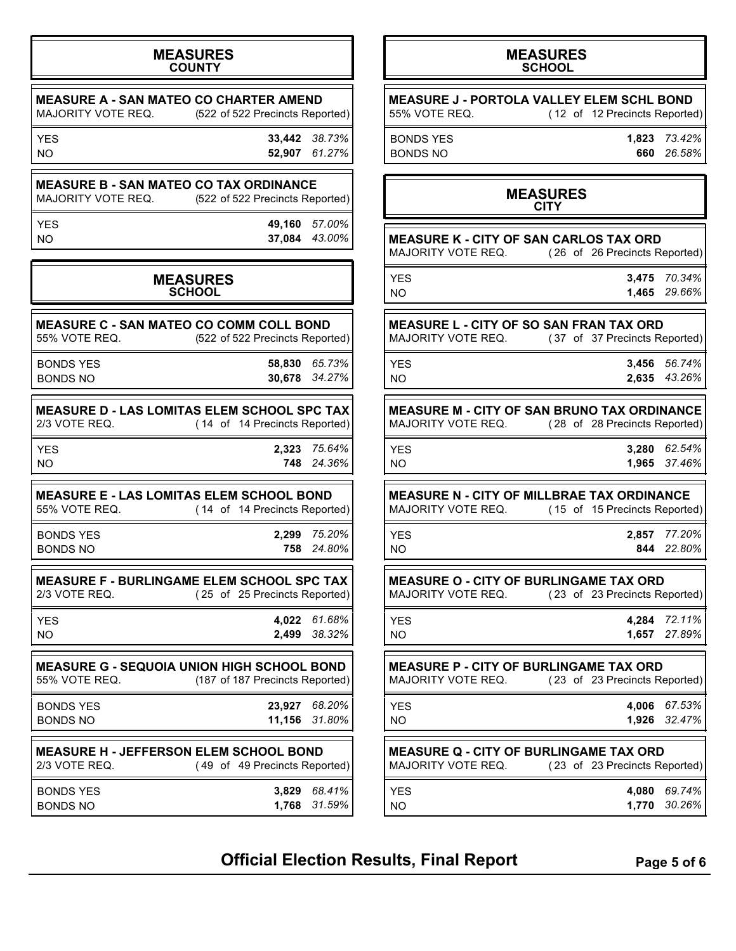#### **MEASURES COUNTY**

| MAJORITY VOTE REQ.           | <b>MEASURE A - SAN MATEO CO CHARTER AMEND</b><br>(522 of 522 Precincts Reported)  |
|------------------------------|-----------------------------------------------------------------------------------|
| <b>YES</b><br>NO.            | 33,442 38.73%<br>61.27%<br>52,907                                                 |
| MAJORITY VOTE REQ.           | <b>MEASURE B - SAN MATEO CO TAX ORDINANCE</b><br>(522 of 522 Precincts Reported)  |
| <b>YES</b><br>NO.            | 49,160<br>57.00%<br>43.00%<br>37,084                                              |
|                              | <b>MEASURES</b><br><b>SCHOOL</b>                                                  |
| 55% VOTE REQ.                | <b>MEASURE C - SAN MATEO CO COMM COLL BOND</b><br>(522 of 522 Precincts Reported) |
| <b>BONDS YES</b><br>BONDS NO | 65.73%<br>58,830<br>34.27%<br>30,678                                              |

| <b>MEASURE D - LAS LOMITAS ELEM SCHOOL SPC TAX</b> |  |                               |                 |
|----------------------------------------------------|--|-------------------------------|-----------------|
| 2/3 VOTE REQ.                                      |  | (14 of 14 Precincts Reported) |                 |
| VFA                                                |  |                               | $2222 - 75640/$ |

| NΟ   | 748 24.36%   |
|------|--------------|
| YES. | 2,323 75.64% |

| <b>MEASURE E - LAS LOMITAS ELEM SCHOOL BOND</b> |  |                               |              |
|-------------------------------------------------|--|-------------------------------|--------------|
| 55% VOTE REQ.                                   |  | (14 of 14 Precincts Reported) |              |
| BONDS YES                                       |  |                               | 2.299 75.20% |

**MEASURE F - BURLINGAME ELEM SCHOOL SPC TAX**<br>2/3 VOTE REQ. (25 of 25 Precincts Reported) (25 of 25 Precincts Reported)

BONDS NO **758** *24.80%*

YES **4,022** *61.68%* NO **2,499** *38.32%*

**MEASURE G - SEQUOIA UNION HIGH SCHOOL BOND**<br>55% VOTE REQ. (187 of 187 Precincts Reported) (187 of 187 Precincts Reported)

| <b>BONDS YES</b><br><b>BONDS NO</b>                            |                               | 23.927 68.20%<br>11,156 31.80% |
|----------------------------------------------------------------|-------------------------------|--------------------------------|
| <b>MEASURE H - JEFFERSON ELEM SCHOOL BOND</b><br>2/3 VOTE REQ. | (49 of 49 Precincts Reported) |                                |
| <b>BONDS YES</b><br><b>BONDS NO</b>                            |                               | 3.829 68.41%<br>1,768 31.59%   |

### **MEASURES SCHOOL**

**MEASURE J - PORTOLA VALLEY ELEM SCHL BOND** 55% VOTE REQ. (12 of 12 Precincts Reported)

BONDS YES **1,823** *73.42%* BONDS NO **660** *26.58%*

### **MEASURES CITY**

| CITY                                                                                                      |                  |
|-----------------------------------------------------------------------------------------------------------|------------------|
| MEASURE K - CITY OF SAN CARLOS TAX ORD<br>MAJORITY VOTE REQ.<br>(26 of 26 Precincts Reported)             |                  |
| 3,475<br>YES<br>NO<br>1,465                                                                               | 70.34%<br>29.66% |
| MEASURE L - CITY OF SO SAN FRAN TAX ORD<br>MAJORITY VOTE REQ.<br>(37 of 37 Precincts Reported)            |                  |
| 3,456<br>YES<br><b>NO</b><br>2,635                                                                        | 56.74%<br>43.26% |
| <b>MEASURE M - CITY OF SAN BRUNO TAX ORDINANCE</b><br>MAJORITY VOTE REQ.<br>(28 of 28 Precincts Reported) |                  |
| 3,280 62.54%<br>YES<br>1,965<br><b>NO</b>                                                                 | 37.46%           |
| MEASURE N - CITY OF MILLBRAE TAX ORDINANCE<br>MAJORITY VOTE REQ.<br>(15 of 15 Precincts Reported)         |                  |
| 2,857 77.20%<br>YES<br>844<br><b>NO</b>                                                                   | 22.80%           |
| <b>MEASURE O - CITY OF BURLINGAME TAX ORD</b><br>MAJORITY VOTE REQ.<br>(23 of 23 Precincts Reported)      |                  |
| 4,284 72.11%<br>YES<br><b>NO</b><br>1,657                                                                 | 27.89%           |
| <b>MEASURE P - CITY OF BURLINGAME TAX ORD</b><br>MAJORITY VOTE REQ.<br>(23 of 23 Precincts Reported)      |                  |
| 4,006<br>YES<br>1,926<br>N <sub>O</sub>                                                                   | 67.53%<br>32.47% |

## **MEASURE Q - CITY OF BURLINGAME TAX ORD**<br>MAJORITY VOTE REQ. (23 of 23 Precincts Re (23 of 23 Precincts Reported)

| YES. | 4,080 69.74% |
|------|--------------|
| NΟ   | 1,770 30.26% |

**Official Election Results, Final Report** Page 5 of 6